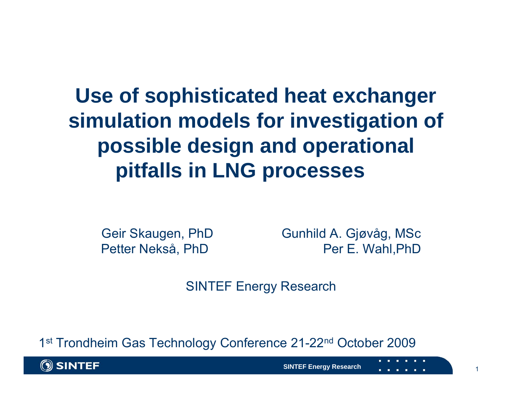### **Use of sophisticated heat exchanger simulation models for investigation of possible design and operational pitfalls in LNG processes**

Geir Skaugen, PhD Gunhild A. Gjøvåg, MSc Petter Nekså, PhD Per E. Wahl, PhD

SINTEF Energy Research

1<sup>st</sup> Trondheim Gas Technology Conference 21-22<sup>nd</sup> October 2009



**SINTEF Energy Research**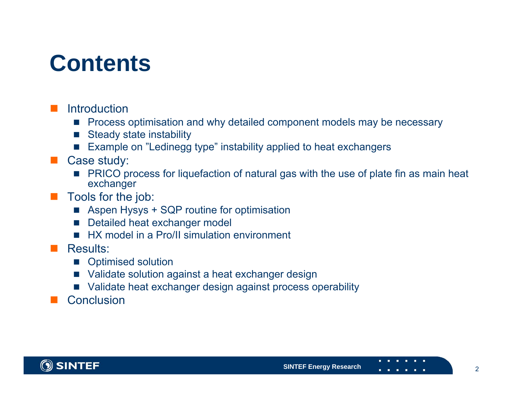### **Contents**

#### **Introduction**

- **Perocess optimisation and why detailed component models may be necessary**
- **I** Steady state instability
- П Example on "Ledinegg type" instability applied to heat exchangers

#### $\Box$ Case study:

**PRICO process for liquefaction of natural gas with the use of plate fin as main heat** exchanger

#### $\Box$ Tools for the job:

- Aspen Hysys + SQP routine for optimisation
- $\sim$ Detailed heat exchanger model
- HX model in a Pro/II simulation environment

#### $\Box$ Results:

- Optimised solution
- $\sim$ Validate solution against a heat exchanger design
- Validate heat exchanger design against process operability
- П **Conclusion**

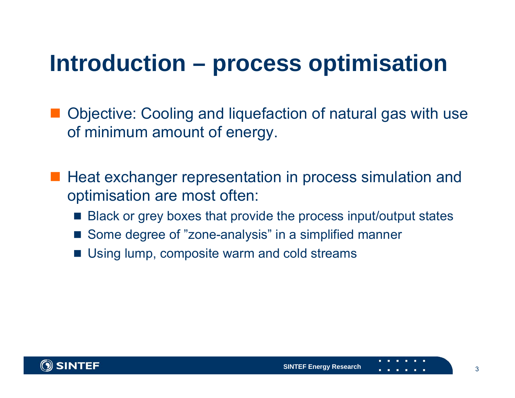### **Introduction – process optimisation**

■ Objective: Cooling and liquefaction of natural gas with use of minimum amount of energy.

- Heat exchanger representation in process simulation and optimisation are most often:
	- Black or grey boxes that provide the process input/output states
	- Some degree of "zone-analysis" in a simplified manner
	- F. Using lump, composite warm and cold streams

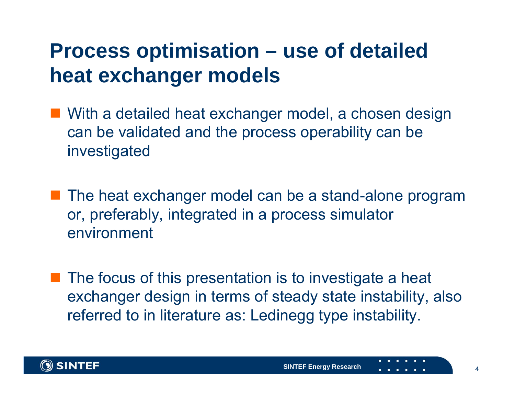#### **Process optimisation – use of detailed heat exchanger models**

- With a detailed heat exchanger model, a chosen design can be validated and the process operability can be investigated
- The heat exchanger model can be a stand-alone program or, preferably, integrated in a process simulator environment
- $\blacksquare$  The focus of this presentation is to investigate a heat exchanger design in terms of steady state instability, also referred to in literature as: Ledinegg type instability.

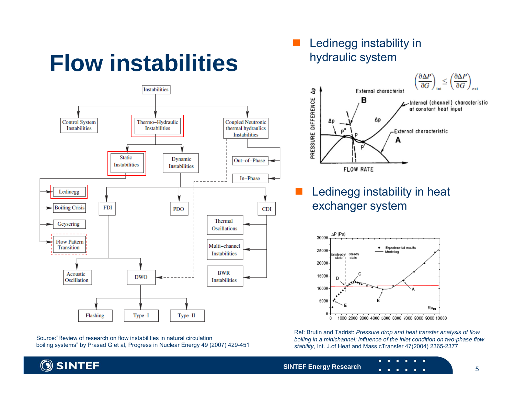# **Flow instabilities**



Source:"Review of research on flow instabilities in natural circulationboiling systems" by Prasad G et al, Progress in Nuclear Energy 49 (2007) 429-451

#### П Ledinegg instability in hydraulic system



 Ledinegg instability in heat exchanger system



Ref: Brutin and Tadrist: *Pressure drop and heat transfer analysis of flow boiling in a minichannel: influence of the inlet condition on two-phase flow stability*, Int. J.of Heat and Mass cTransfer 47(2004) 2365-2377

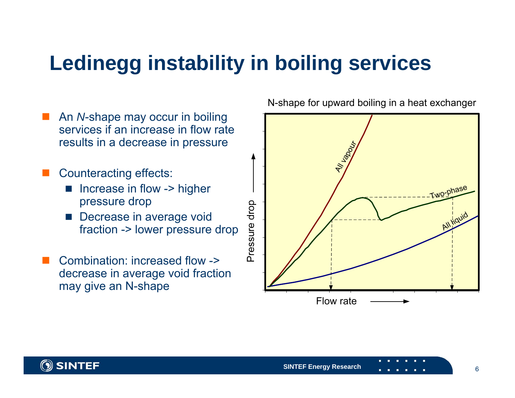### **Ledinegg instability in boiling services**

 An *N*-shape may occur in boiling  $\Box$ services if an increase in flow rate results in a decrease in pressure Counteracting effects: П Increase in flow -> higher L pressure drop Pressure drop **Decrease in average void** fraction -> lower pressure drop Combination: increased flow -> decrease in average void fraction may give an N-shape

N-shape for upward boiling in a heat exchanger



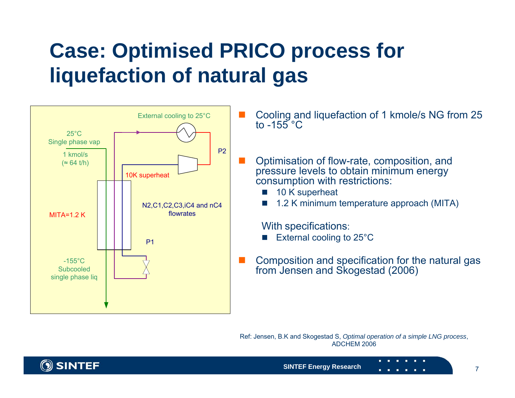### **Case: Optimised PRICO process for liquefaction of natural gas**



 Cooling and liquefaction of 1 kmole/s NG from 25 to  $-155^{\circ}$ C

 Optimisation of flow-rate, composition, and pressure levels to obtain minimum energy consumption with restrictions:

- r. 10 K superheat
- r. 1.2 K minimum temperature approach (MITA)

With specifications:

- ×. External cooling to 25°C
- **Composition and specification for the natural gas** from Jensen and Skogestad (2006)

Ref: Jensen, B.K and Skogestad S, *Optimal operation of a simple LNG process*, ADCHEM 2006

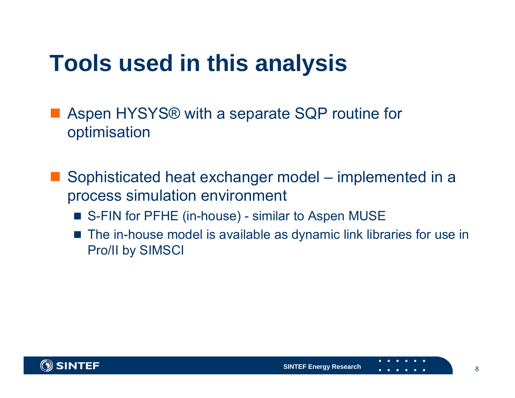# **Tools used in this analysis**

■ Aspen HYSYS® with a separate SQP routine for optimisation

- Sophisticated heat exchanger model – implemented in a process simulation environment
	- S-FIN for PFHE (in-house) similar to Aspen MUSE
	- F. The in-house model is available as dynamic link libraries for use in Pro/II by SIMSCI

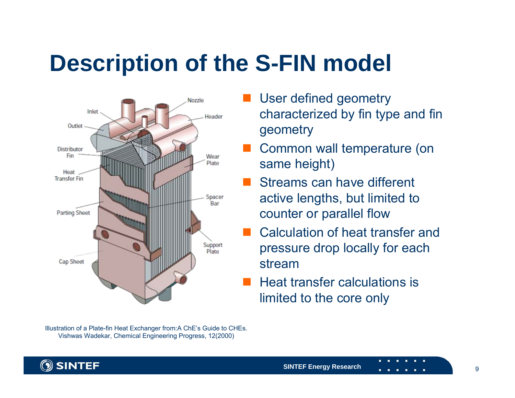# **Description of the S-FIN model**



Illustration of a Plate-fin Heat Exchanger from:A ChE's Guide to CHEs. Vishwas Wadekar, Chemical Engineering Progress, 12(2000)

- User defined geometry characterized by fin type and fin geometry
- Common wall temperature (on same height)
- Streams can have different active lengths, but limited to counter or parallel flow
- $\mathbb{R}^2$  Calculation of heat transfer and pressure drop locally for each stream
- Heat transfer calculations is limited to the core only

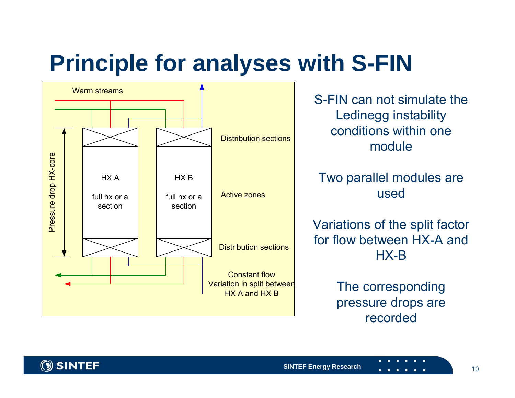# **Principle for analyses with S-FIN**



S-FIN can not simulate the Ledinegg instability conditions within one module

Two parallel modules are used

Variations of the split factor for flow between HX-A and HX-B

> The corresponding pressure drops are recorded

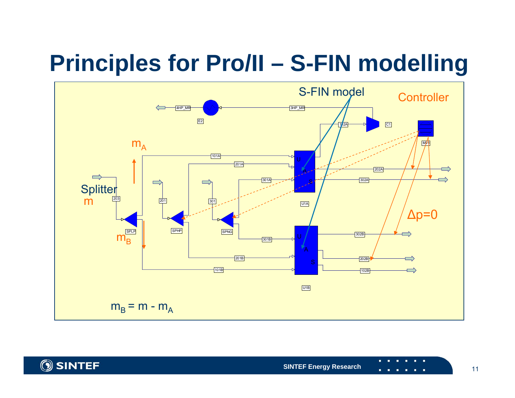# **Principles for Pro/II – S-FIN modelling**



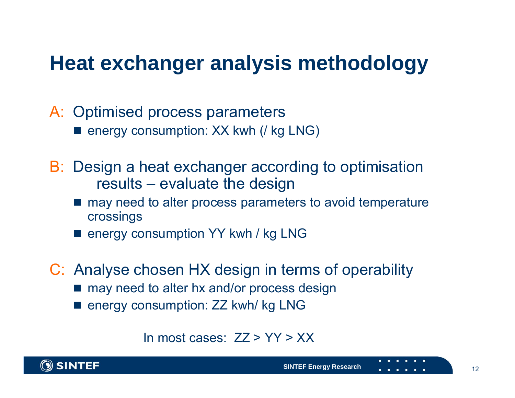#### **Heat exchanger analysis methodology**

- A: Optimised process parameters
	- energy consumption: XX kwh (/ kg LNG)
- B: Design a heat exchanger according to optimisation results – evaluate the design
	- may need to alter process parameters to avoid temperature crossings
	- energy consumption YY kwh / kg LNG
- C: Analyse chosen HX design in terms of operability
	- may need to alter hx and/or process design
	- energy consumption: ZZ kwh/ kg LNG

#### In most cases:  $ZZ > YY > XX$

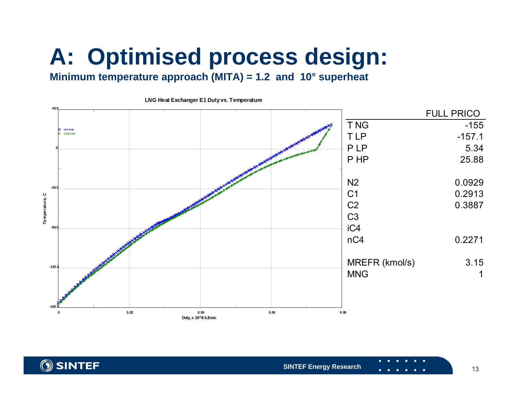# **A: Optimised process design:**

#### **Minimum temperature approach (MITA) = 1.2 and 10° superheat**



**LNG Heat Exchanger E1 Duty vs. Temperature**

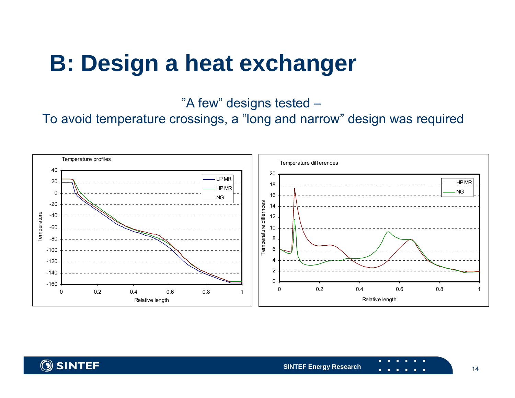### **B: Design a heat exchanger**

"A few" designs tested –

To avoid temperature crossings, a "long and narrow" design was required



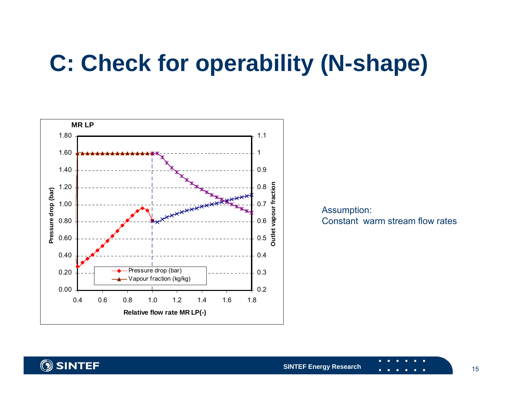# **C: Check for operability (N-shape)**



Assumption: Constant warm stream flow rates

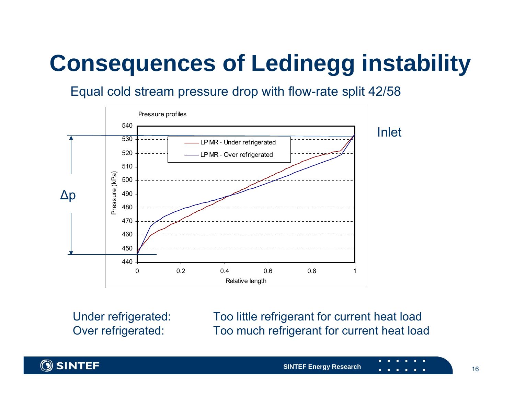# **Consequences of Ledinegg instability**

#### Equal cold stream pressure drop with flow-rate split 42/58



Under refrigerated: Too little refrigerant for current heat load Over refrigerated: Too much refrigerant for current heat load

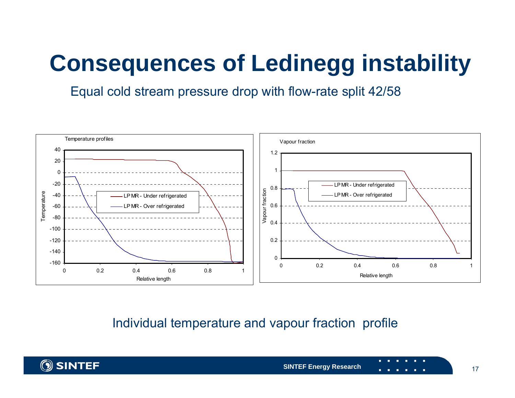# **Consequences of Ledinegg instability**

Equal cold stream pressure drop with flow-rate split 42/58



Individual temperature and vapour fraction profile

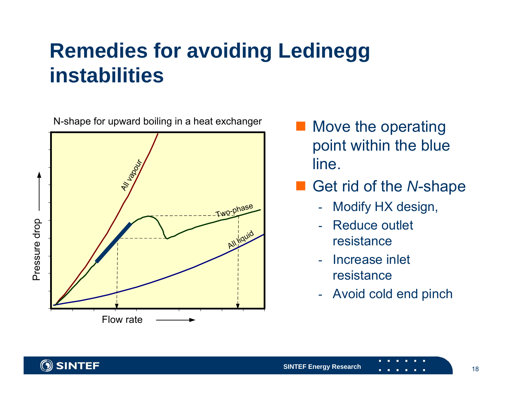### **Remedies for avoiding Ledinegg instabilities**

N-shape for upward boiling in a heat exchanger



 Move the operating point within the blue line.

#### $\mathcal{L}_{\mathcal{A}}$ Get rid of the *N*-shape

- -Modify HX design,
- - Reduce outlet resistance
- Increase inlet resistance
- -Avoid cold end pinch

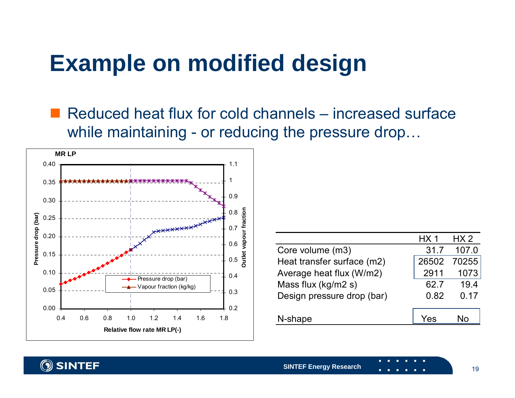## **Example on modified design**

■ Reduced heat flux for cold channels – increased surface while maintaining - or reducing the pressure drop...



|                            | HX 1  | HX 2  |
|----------------------------|-------|-------|
| Core volume (m3)           | 31.7  | 107.0 |
| Heat transfer surface (m2) | 26502 | 70255 |
| Average heat flux (W/m2)   | 2911  | 1073  |
| Mass flux (kg/m2 s)        | 62.7  | 19.4  |
| Design pressure drop (bar) | 0.82  | 0.17  |
|                            |       |       |
| N-shape                    |       |       |